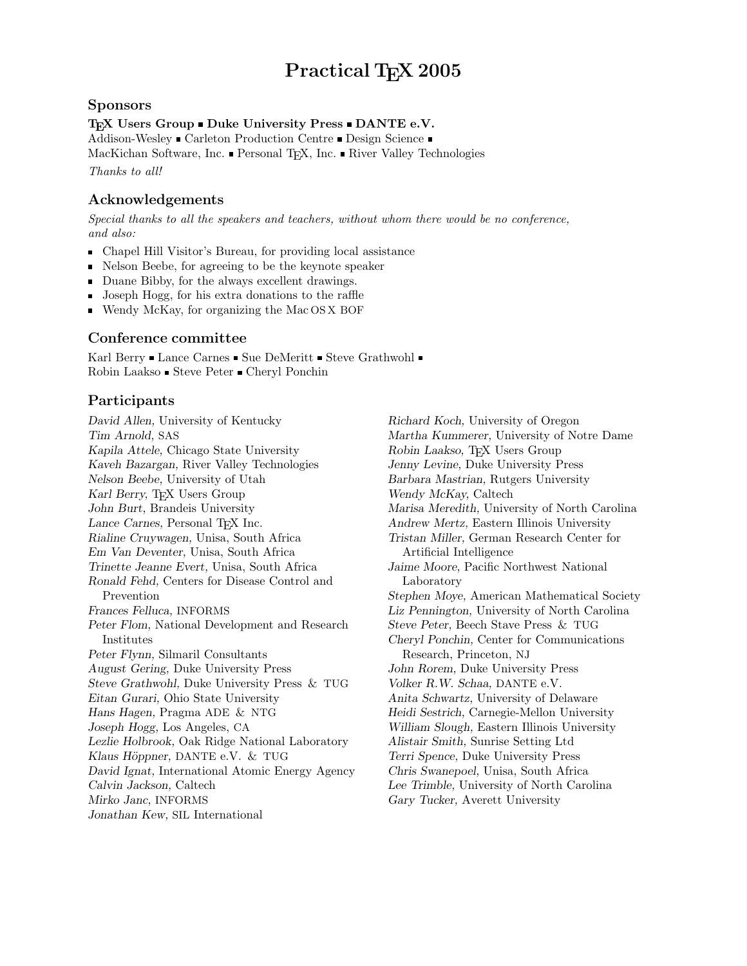# Practical T<sub>E</sub>X 2005

#### Sponsors

#### T<sub>E</sub>X Users Group  $\blacksquare$  Duke University Press  $\blacksquare$  DANTE e.V.

Addison-Wesley Carleton Production Centre Design Science

MacKichan Software, Inc.  $\blacksquare$  Personal TEX, Inc.  $\blacksquare$  River Valley Technologies

Thanks to all!

#### Acknowledgements

Special thanks to all the speakers and teachers, without whom there would be no conference, and also:

- Chapel Hill Visitor's Bureau, for providing local assistance
- Nelson Beebe, for agreeing to be the keynote speaker
- Duane Bibby, for the always excellent drawings.
- **Joseph Hogg, for his extra donations to the raffle**
- Wendy McKay, for organizing the Mac OS X BOF

## Conference committee

Karl Berry  $\blacksquare$  Lance Carnes  $\blacksquare$  Sue DeMeritt  $\blacksquare$  Steve Grathwohl  $\blacksquare$ Robin Laakso  $\blacksquare$  Steve Peter  $\blacksquare$  Cheryl Ponchin

## Participants

David Allen, University of Kentucky Tim Arnold, SAS Kapila Attele, Chicago State University Kaveh Bazargan, River Valley Technologies Nelson Beebe, University of Utah Karl Berry, TEX Users Group John Burt, Brandeis University Lance Carnes, Personal T<sub>E</sub>X Inc. Rialine Cruywagen, Unisa, South Africa Em Van Deventer, Unisa, South Africa Trinette Jeanne Evert, Unisa, South Africa Ronald Fehd, Centers for Disease Control and Prevention Frances Felluca, INFORMS Peter Flom, National Development and Research Institutes Peter Flynn, Silmaril Consultants August Gering, Duke University Press Steve Grathwohl, Duke University Press & TUG Eitan Gurari, Ohio State University Hans Hagen, Pragma ADE & NTG Joseph Hogg, Los Angeles, CA Lezlie Holbrook, Oak Ridge National Laboratory Klaus Höppner, DANTE e.V. & TUG David Ignat, International Atomic Energy Agency Calvin Jackson, Caltech Mirko Janc, INFORMS Jonathan Kew, SIL International

Richard Koch, University of Oregon Martha Kummerer, University of Notre Dame Robin Laakso, T<sub>EX</sub> Users Group Jenny Levine, Duke University Press Barbara Mastrian, Rutgers University Wendy McKay, Caltech Marisa Meredith, University of North Carolina Andrew Mertz, Eastern Illinois University Tristan Miller, German Research Center for Artificial Intelligence Jaime Moore, Pacific Northwest National Laboratory Stephen Moye, American Mathematical Society Liz Pennington, University of North Carolina Steve Peter, Beech Stave Press & TUG Cheryl Ponchin, Center for Communications Research, Princeton, NJ John Rorem, Duke University Press Volker R.W. Schaa, DANTE e.V. Anita Schwartz, University of Delaware Heidi Sestrich, Carnegie-Mellon University William Slough, Eastern Illinois University Alistair Smith, Sunrise Setting Ltd Terri Spence, Duke University Press Chris Swanepoel, Unisa, South Africa Lee Trimble, University of North Carolina Gary Tucker, Averett University